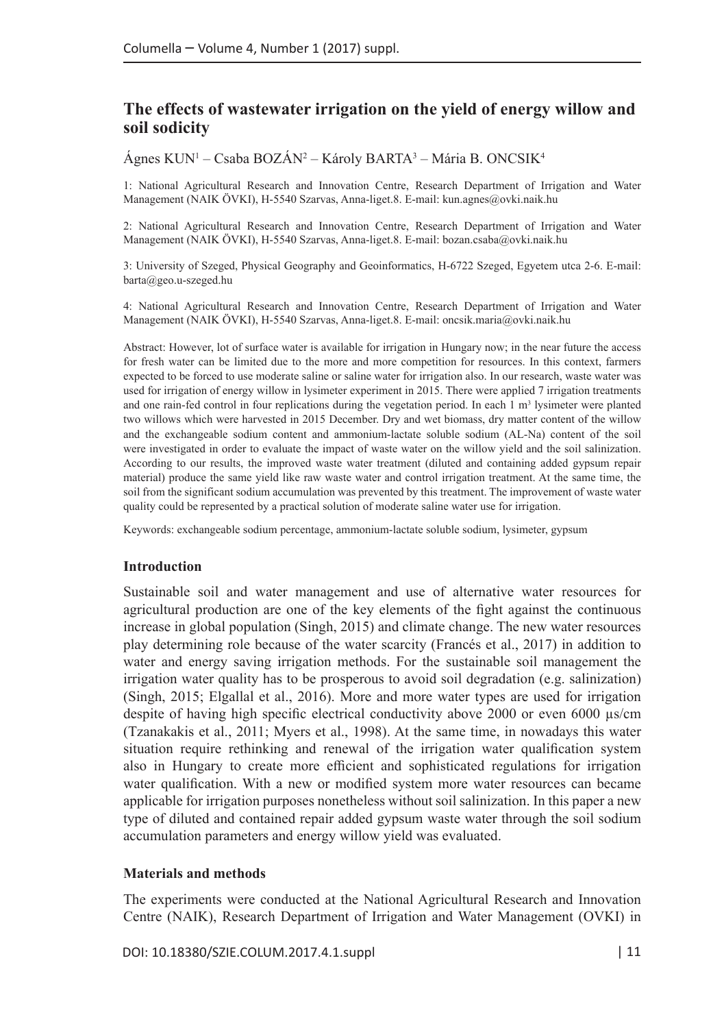# **The effects of wastewater irrigation on the yield of energy willow and soil sodicity**

Ágnes KUN1 – Csaba BOZÁN2 – Károly BARTA3 – Mária B. ONCSIK4

1: National Agricultural Research and Innovation Centre, Research Department of Irrigation and Water Management (NAIK ÖVKI), H-5540 Szarvas, Anna-liget.8. E-mail: [kun.agnes@ovki.naik.hu](mailto:kun.agnes@ovki.naik.hu)

2: National Agricultural Research and Innovation Centre, Research Department of Irrigation and Water Management (NAIK ÖVKI), H-5540 Szarvas, Anna-liget.8. E-mail: [bozan.csaba@ovki.naik.hu](mailto:bozan.csaba@ovki.naik.hu)

3: University of Szeged, Physical Geography and Geoinformatics, H-6722 Szeged, Egyetem utca 2-6. E-mail: [barta@geo.u-szeged.hu](mailto:barta@geo.u-szeged.hu)

4: National Agricultural Research and Innovation Centre, Research Department of Irrigation and Water Management (NAIK ÖVKI), H-5540 Szarvas, Anna-liget.8. E-mail: oncsik.maria@ovki.naik.hu

Abstract: However, lot of surface water is available for irrigation in Hungary now; in the near future the access for fresh water can be limited due to the more and more competition for resources. In this context, farmers expected to be forced to use moderate saline or saline water for irrigation also. In our research, waste water was used for irrigation of energy willow in lysimeter experiment in 2015. There were applied 7 irrigation treatments and one rain-fed control in four replications during the vegetation period. In each 1 m<sup>3</sup> lysimeter were planted two willows which were harvested in 2015 December. Dry and wet biomass, dry matter content of the willow and the exchangeable sodium content and ammonium-lactate soluble sodium (AL-Na) content of the soil were investigated in order to evaluate the impact of waste water on the willow yield and the soil salinization. According to our results, the improved waste water treatment (diluted and containing added gypsum repair material) produce the same yield like raw waste water and control irrigation treatment. At the same time, the soil from the significant sodium accumulation was prevented by this treatment. The improvement of waste water quality could be represented by a practical solution of moderate saline water use for irrigation.

Keywords: exchangeable sodium percentage, ammonium-lactate soluble sodium, lysimeter, gypsum

#### **Introduction**

Sustainable soil and water management and use of alternative water resources for agricultural production are one of the key elements of the fight against the continuous increase in global population (Singh, 2015) and climate change. The new water resources play determining role because of the water scarcity (Francés et al., 2017) in addition to water and energy saving irrigation methods. For the sustainable soil management the irrigation water quality has to be prosperous to avoid soil degradation (e.g. salinization) (Singh, 2015; Elgallal et al., 2016). More and more water types are used for irrigation despite of having high specific electrical conductivity above 2000 or even 6000  $\mu$ s/cm (Tzanakakis et al., 2011; Myers et al., 1998). At the same time, in nowadays this water situation require rethinking and renewal of the irrigation water qualification system also in Hungary to create more efficient and sophisticated regulations for irrigation water qualification. With a new or modified system more water resources can became applicable for irrigation purposes nonetheless without soil salinization. In this paper a new type of diluted and contained repair added gypsum waste water through the soil sodium accumulation parameters and energy willow yield was evaluated.

#### **Materials and methods**

The experiments were conducted at the National Agricultural Research and Innovation Centre (NAIK), Research Department of Irrigation and Water Management (OVKI) in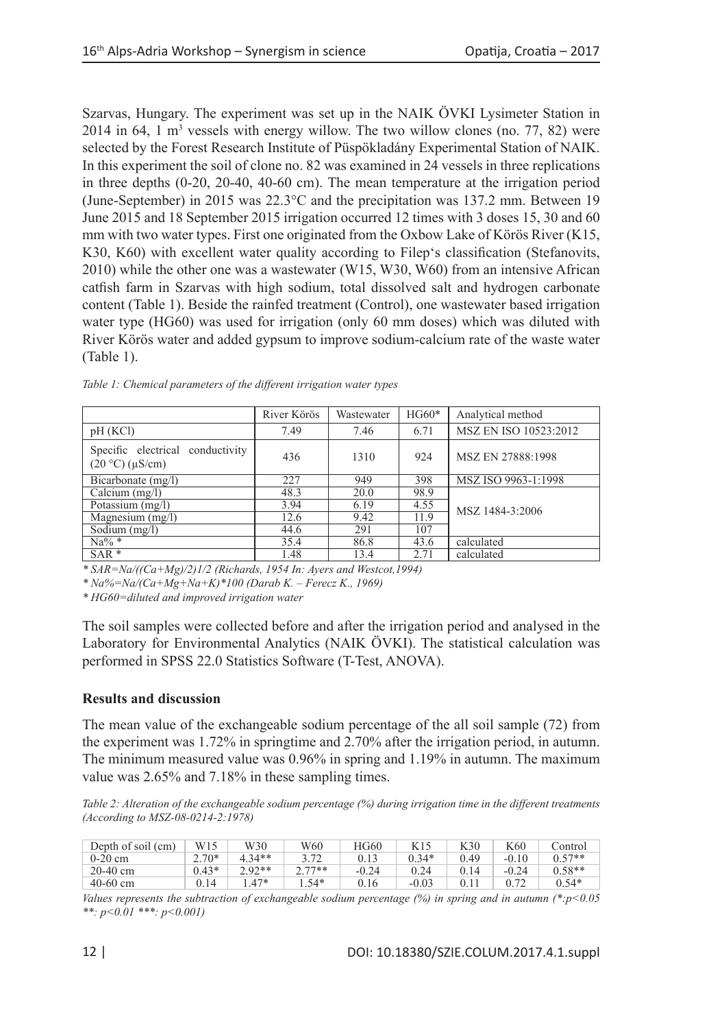Szarvas, Hungary. The experiment was set up in the NAIK ÖVKI Lysimeter Station in  $2014$  in 64, 1 m<sup>3</sup> vessels with energy willow. The two willow clones (no. 77, 82) were selected by the Forest Research Institute of Püspökladány Experimental Station of NAIK. In this experiment the soil of clone no. 82 was examined in 24 vessels in three replications in three depths (0-20, 20-40, 40-60 cm). The mean temperature at the irrigation period (June-September) in 2015 was 22.3°C and the precipitation was 137.2 mm. Between 19 June 2015 and 18 September 2015 irrigation occurred 12 times with 3 doses 15, 30 and 60 mm with two water types. First one originated from the Oxbow Lake of Körös River (K15, K30, K60) with excellent water quality according to Filep's classification (Stefanovits, 2010) while the other one was a wastewater (W15, W30, W60) from an intensive African catfish farm in Szarvas with high sodium, total dissolved salt and hydrogen carbonate content (Table 1). Beside the rainfed treatment (Control), one wastewater based irrigation water type (HG60) was used for irrigation (only 60 mm doses) which was diluted with River Körös water and added gypsum to improve sodium-calcium rate of the waste water (Table 1).

|                                                             | River Körös | Wastewater | $HG60*$ | Analytical method     |  |
|-------------------------------------------------------------|-------------|------------|---------|-----------------------|--|
| pH(KCl)                                                     | 7.49        | 7.46       | 6.71    | MSZ EN ISO 10523:2012 |  |
| Specific electrical conductivity<br>$(20 °C)$ ( $\mu$ S/cm) | 436         | 1310       | 924     | MSZ EN 27888:1998     |  |
| Bicarbonate (mg/l)                                          | 227         | 949        | 398     | MSZ ISO 9963-1:1998   |  |
| Calcium $(mg/l)$                                            | 48.3        | 20.0       | 98.9    |                       |  |
| Potassium $(mg/l)$                                          | 3.94        | 6.19       | 4.55    | MSZ 1484-3:2006       |  |
| Magnesium $(mg/l)$                                          | 12.6        | 9.42       | 11.9    |                       |  |
| Sodium $(mg/l)$                                             | 44.6        | 291        | 107     |                       |  |
| $Na\%$ *                                                    | 35.4        | 86.8       | 43.6    | calculated            |  |
| $SAR*$                                                      | 1.48        | 13.4       | 2.71    | calculated            |  |

*Table 1: Chemical parameters of the different irrigation water types*

*\* SAR=Na/((Ca+Mg)/2)1/2 (Richards, 1954 In: Ayers and Westcot,1994)*

*\* Na%=Na/(Ca+Mg+Na+K)\*100 (Darab K. – Ferecz K., 1969)*

*\* HG60=diluted and improved irrigation water*

The soil samples were collected before and after the irrigation period and analysed in the Laboratory for Environmental Analytics (NAIK ÖVKI). The statistical calculation was performed in SPSS 22.0 Statistics Software (T-Test, ANOVA).

## **Results and discussion**

The mean value of the exchangeable sodium percentage of the all soil sample (72) from the experiment was 1.72% in springtime and 2.70% after the irrigation period, in autumn. The minimum measured value was 0.96% in spring and 1.19% in autumn. The maximum value was 2.65% and 7.18% in these sampling times.

*Table 2: Alteration of the exchangeable sodium percentage (%) during irrigation time in the different treatments (According to MSZ-08-0214-2:1978)*

| Depth of soil (cm) | W15     | W30      | W60      | HG60    | K15     | K30  | K60     | Control  |
|--------------------|---------|----------|----------|---------|---------|------|---------|----------|
| $0-20$ cm          | $2.70*$ | $4.34**$ | 3.72     | 0.13    | $0.34*$ | 0.49 | $-0.10$ | $0.57**$ |
| $20-40$ cm         | $0.43*$ | $2.92**$ | $2.77**$ | $-0.24$ | 0.24    | 0.14 | $-0.24$ | $0.58**$ |
| $40-60$ cm         | 0.14    | $47*$    | . . 54*  | 0.16    | $-0.03$ | 0.1? |         | $0.54*$  |

*Values represents the subtraction of exchangeable sodium percentage (%) in spring and in autumn (\*:p<0.05 \*\*: p<0.01 \*\*\*: p<0.001)*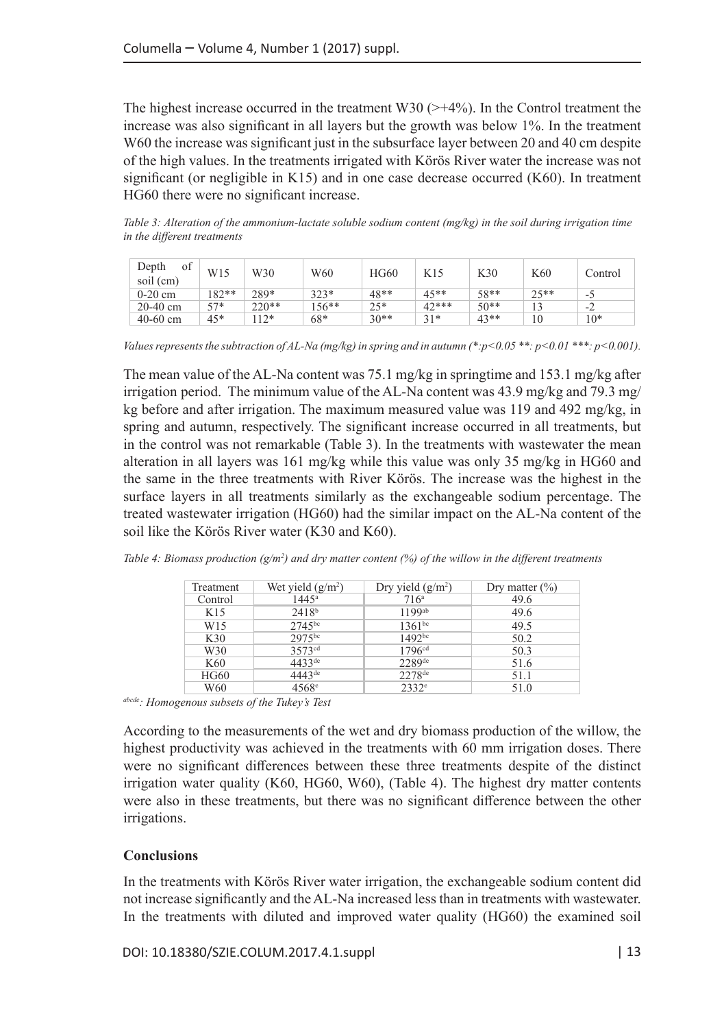The highest increase occurred in the treatment W30  $(>\+4\%)$ . In the Control treatment the increase was also significant in all layers but the growth was below 1%. In the treatment W60 the increase was significant just in the subsurface layer between 20 and 40 cm despite of the high values. In the treatments irrigated with Körös River water the increase was not significant (or negligible in K15) and in one case decrease occurred  $(K60)$ . In treatment HG60 there were no significant increase.

*Table 3: Alteration of the ammonium-lactate soluble sodium content (mg/kg) in the soil during irrigation time in the different treatments*

| of<br>Depth<br>soil (cm) | W15     | W30     | W60     | <b>HG60</b> | K15    | K30    | K60  | Control |
|--------------------------|---------|---------|---------|-------------|--------|--------|------|---------|
| $0-20$ cm                | $182**$ | 289*    | $323*$  | $48**$      | $45**$ | 58**   | つく** | . .     |
| $20-40$ cm               | $57*$   | $220**$ | $156**$ | $25*$       | 42***  | $50**$ |      | $-2$    |
| $40-60$ cm               | 45*     | $12*$   | 68*     | $30**$      | $31*$  | $43**$ | 10   | $10*$   |

*Values represents the subtraction of AL-Na (mg/kg) in spring and in autumn (\*:p<0.05 \*\*: p<0.01 \*\*\*: p<0.001).*

The mean value of the AL-Na content was 75.1 mg/kg in springtime and 153.1 mg/kg after irrigation period. The minimum value of the AL-Na content was  $43.9 \text{ mg/kg}$  and  $79.3 \text{ mg/}$ kg before and after irrigation. The maximum measured value was 119 and 492 mg/kg, in spring and autumn, respectively. The significant increase occurred in all treatments, but in the control was not remarkable (Table 3). In the treatments with wastewater the mean alteration in all layers was 161 mg/kg while this value was only 35 mg/kg in HG60 and the same in the three treatments with River Körös. The increase was the highest in the surface layers in all treatments similarly as the exchangeable sodium percentage. The treated wastewater irrigation (HG60) had the similar impact on the AL-Na content of the soil like the Körös River water (K30 and K60).

| Treatment       | Wet yield $(g/m^2)$ | Dry yield $(g/m^2)$  | Dry matter $(\% )$ |
|-----------------|---------------------|----------------------|--------------------|
| Control         | $144.5^{\circ}$     | $716^{\rm a}$        | 49.6               |
| K15             | 2418 <sup>b</sup>   | $1199$ <sup>ab</sup> | 49.6               |
| W <sub>15</sub> | $2745^{bc}$         | $1361^{bc}$          | 49.5               |
| K30             | 2975bc              | $1492^{bc}$          | 50.2               |
| W <sub>30</sub> | 3573 <sup>cd</sup>  | 1796 <sup>cd</sup>   | 50.3               |
| K <sub>60</sub> | $4433^{de}$         | $2289$ de            | 51.6               |
| HG60            | $444.3^{\text{de}}$ | 2278 <sup>de</sup>   | 51.1               |
| W60             | $4568$ <sup>e</sup> | $2332^e$             | 51.0               |

*Table 4: Biomass production (g/m2 ) and dry matter content (%) of the willow in the different treatments*

*abcde: Homogenous subsets of the Tukey's Test*

According to the measurements of the wet and dry biomass production of the willow, the highest productivity was achieved in the treatments with 60 mm irrigation doses. There were no significant differences between these three treatments despite of the distinct irrigation water quality (K60, HG60, W60), (Table 4). The highest dry matter contents were also in these treatments, but there was no significant difference between the other irrigations.

## **Conclusions**

In the treatments with Körös River water irrigation, the exchangeable sodium content did not increase significantly and the AL-Na increased less than in treatments with wastewater. In the treatments with diluted and improved water quality (HG60) the examined soil